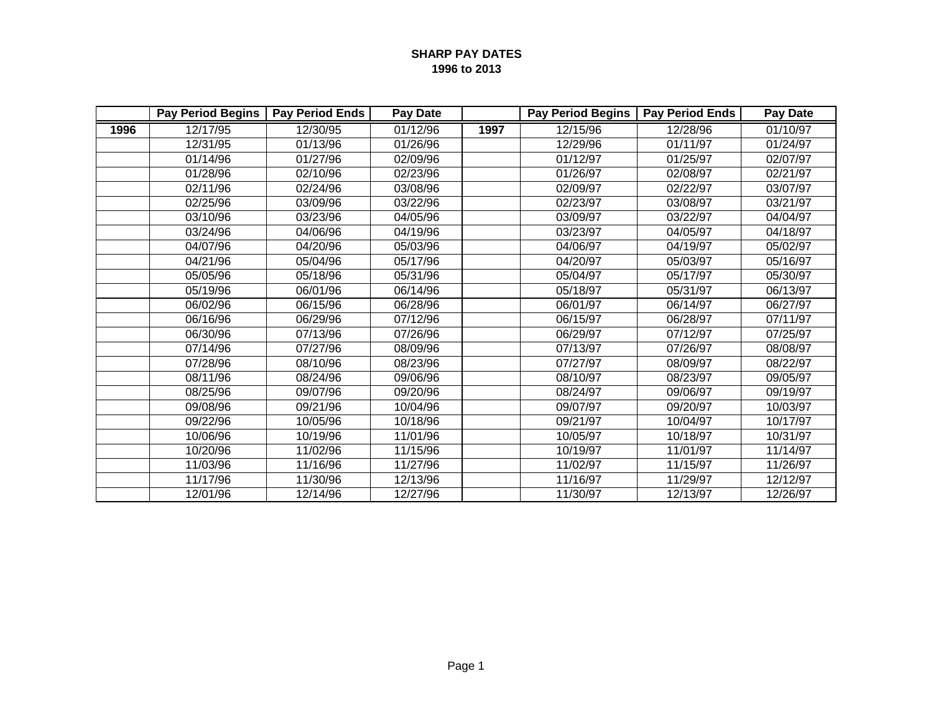|      | <b>Pay Period Begins</b> | <b>Pay Period Ends</b> | Pay Date |      | <b>Pay Period Begins</b> | <b>Pay Period Ends</b> | Pay Date |
|------|--------------------------|------------------------|----------|------|--------------------------|------------------------|----------|
| 1996 | 12/17/95                 | 12/30/95               | 01/12/96 | 1997 | 12/15/96                 | 12/28/96               | 01/10/97 |
|      | 12/31/95                 | 01/13/96               | 01/26/96 |      | 12/29/96                 | 01/11/97               | 01/24/97 |
|      | 01/14/96                 | 01/27/96               | 02/09/96 |      | 01/12/97                 | 01/25/97               | 02/07/97 |
|      | 01/28/96                 | 02/10/96               | 02/23/96 |      | 01/26/97                 | 02/08/97               | 02/21/97 |
|      | 02/11/96                 | 02/24/96               | 03/08/96 |      | 02/09/97                 | 02/22/97               | 03/07/97 |
|      | 02/25/96                 | 03/09/96               | 03/22/96 |      | 02/23/97                 | 03/08/97               | 03/21/97 |
|      | 03/10/96                 | 03/23/96               | 04/05/96 |      | 03/09/97                 | 03/22/97               | 04/04/97 |
|      | 03/24/96                 | 04/06/96               | 04/19/96 |      | 03/23/97                 | 04/05/97               | 04/18/97 |
|      | 04/07/96                 | 04/20/96               | 05/03/96 |      | 04/06/97                 | 04/19/97               | 05/02/97 |
|      | 04/21/96                 | 05/04/96               | 05/17/96 |      | 04/20/97                 | 05/03/97               | 05/16/97 |
|      | 05/05/96                 | 05/18/96               | 05/31/96 |      | 05/04/97                 | 05/17/97               | 05/30/97 |
|      | 05/19/96                 | 06/01/96               | 06/14/96 |      | 05/18/97                 | 05/31/97               | 06/13/97 |
|      | 06/02/96                 | 06/15/96               | 06/28/96 |      | 06/01/97                 | 06/14/97               | 06/27/97 |
|      | 06/16/96                 | 06/29/96               | 07/12/96 |      | 06/15/97                 | 06/28/97               | 07/11/97 |
|      | 06/30/96                 | 07/13/96               | 07/26/96 |      | 06/29/97                 | 07/12/97               | 07/25/97 |
|      | 07/14/96                 | 07/27/96               | 08/09/96 |      | 07/13/97                 | 07/26/97               | 08/08/97 |
|      | 07/28/96                 | 08/10/96               | 08/23/96 |      | 07/27/97                 | 08/09/97               | 08/22/97 |
|      | 08/11/96                 | 08/24/96               | 09/06/96 |      | 08/10/97                 | 08/23/97               | 09/05/97 |
|      | 08/25/96                 | 09/07/96               | 09/20/96 |      | 08/24/97                 | 09/06/97               | 09/19/97 |
|      | 09/08/96                 | 09/21/96               | 10/04/96 |      | 09/07/97                 | 09/20/97               | 10/03/97 |
|      | 09/22/96                 | 10/05/96               | 10/18/96 |      | 09/21/97                 | 10/04/97               | 10/17/97 |
|      | 10/06/96                 | 10/19/96               | 11/01/96 |      | 10/05/97                 | 10/18/97               | 10/31/97 |
|      | 10/20/96                 | 11/02/96               | 11/15/96 |      | 10/19/97                 | 11/01/97               | 11/14/97 |
|      | 11/03/96                 | 11/16/96               | 11/27/96 |      | 11/02/97                 | 11/15/97               | 11/26/97 |
|      | 11/17/96                 | 11/30/96               | 12/13/96 |      | 11/16/97                 | 11/29/97               | 12/12/97 |
|      | 12/01/96                 | 12/14/96               | 12/27/96 |      | 11/30/97                 | 12/13/97               | 12/26/97 |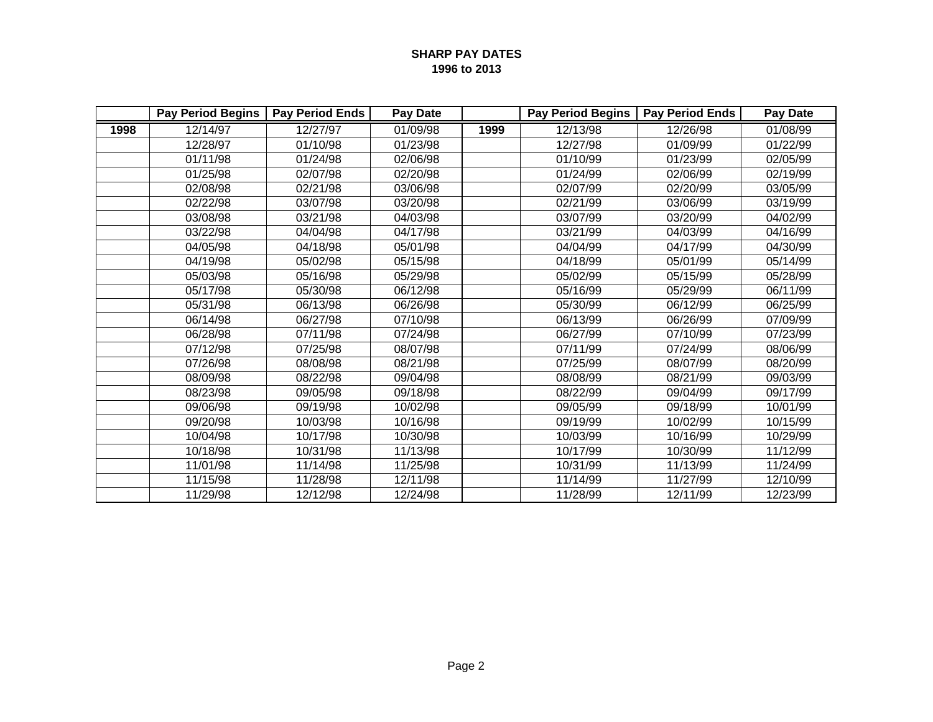|      | <b>Pay Period Begins</b> | <b>Pay Period Ends</b> | Pay Date |      | <b>Pay Period Begins</b> | <b>Pay Period Ends</b> | Pay Date |
|------|--------------------------|------------------------|----------|------|--------------------------|------------------------|----------|
| 1998 | 12/14/97                 | 12/27/97               | 01/09/98 | 1999 | 12/13/98                 | 12/26/98               | 01/08/99 |
|      | 12/28/97                 | 01/10/98               | 01/23/98 |      | 12/27/98                 | 01/09/99               | 01/22/99 |
|      | 01/11/98                 | 01/24/98               | 02/06/98 |      | 01/10/99                 | 01/23/99               | 02/05/99 |
|      | 01/25/98                 | 02/07/98               | 02/20/98 |      | 01/24/99                 | 02/06/99               | 02/19/99 |
|      | 02/08/98                 | 02/21/98               | 03/06/98 |      | 02/07/99                 | 02/20/99               | 03/05/99 |
|      | 02/22/98                 | 03/07/98               | 03/20/98 |      | 02/21/99                 | 03/06/99               | 03/19/99 |
|      | 03/08/98                 | 03/21/98               | 04/03/98 |      | 03/07/99                 | 03/20/99               | 04/02/99 |
|      | 03/22/98                 | 04/04/98               | 04/17/98 |      | 03/21/99                 | 04/03/99               | 04/16/99 |
|      | 04/05/98                 | 04/18/98               | 05/01/98 |      | 04/04/99                 | 04/17/99               | 04/30/99 |
|      | 04/19/98                 | 05/02/98               | 05/15/98 |      | 04/18/99                 | 05/01/99               | 05/14/99 |
|      | 05/03/98                 | 05/16/98               | 05/29/98 |      | 05/02/99                 | 05/15/99               | 05/28/99 |
|      | 05/17/98                 | 05/30/98               | 06/12/98 |      | 05/16/99                 | 05/29/99               | 06/11/99 |
|      | 05/31/98                 | 06/13/98               | 06/26/98 |      | 05/30/99                 | 06/12/99               | 06/25/99 |
|      | 06/14/98                 | 06/27/98               | 07/10/98 |      | 06/13/99                 | 06/26/99               | 07/09/99 |
|      | 06/28/98                 | 07/11/98               | 07/24/98 |      | 06/27/99                 | 07/10/99               | 07/23/99 |
|      | 07/12/98                 | 07/25/98               | 08/07/98 |      | 07/11/99                 | 07/24/99               | 08/06/99 |
|      | 07/26/98                 | 08/08/98               | 08/21/98 |      | 07/25/99                 | 08/07/99               | 08/20/99 |
|      | 08/09/98                 | 08/22/98               | 09/04/98 |      | 08/08/99                 | 08/21/99               | 09/03/99 |
|      | 08/23/98                 | 09/05/98               | 09/18/98 |      | 08/22/99                 | 09/04/99               | 09/17/99 |
|      | 09/06/98                 | 09/19/98               | 10/02/98 |      | 09/05/99                 | 09/18/99               | 10/01/99 |
|      | 09/20/98                 | 10/03/98               | 10/16/98 |      | 09/19/99                 | 10/02/99               | 10/15/99 |
|      | 10/04/98                 | 10/17/98               | 10/30/98 |      | 10/03/99                 | 10/16/99               | 10/29/99 |
|      | 10/18/98                 | 10/31/98               | 11/13/98 |      | 10/17/99                 | 10/30/99               | 11/12/99 |
|      | 11/01/98                 | 11/14/98               | 11/25/98 |      | 10/31/99                 | 11/13/99               | 11/24/99 |
|      | 11/15/98                 | 11/28/98               | 12/11/98 |      | 11/14/99                 | 11/27/99               | 12/10/99 |
|      | 11/29/98                 | 12/12/98               | 12/24/98 |      | 11/28/99                 | 12/11/99               | 12/23/99 |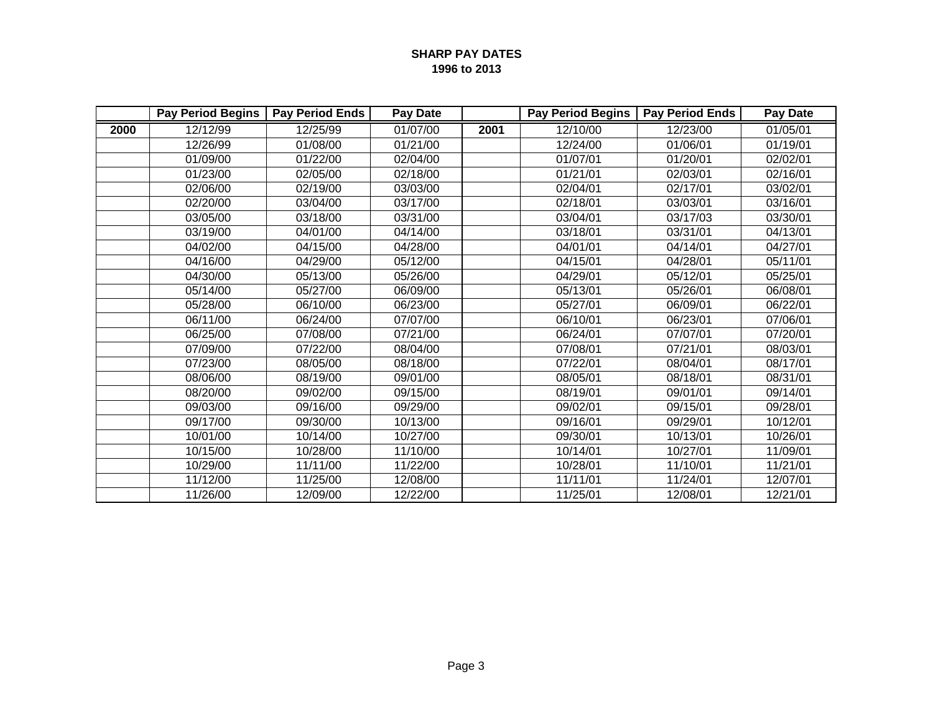|      | <b>Pay Period Begins</b> | <b>Pay Period Ends</b> | <b>Pay Date</b> |      | <b>Pay Period Begins</b> | <b>Pay Period Ends</b> | <b>Pay Date</b> |
|------|--------------------------|------------------------|-----------------|------|--------------------------|------------------------|-----------------|
| 2000 | 12/12/99                 | 12/25/99               | 01/07/00        | 2001 | 12/10/00                 | 12/23/00               | 01/05/01        |
|      | 12/26/99                 | 01/08/00               | 01/21/00        |      | 12/24/00                 | 01/06/01               | 01/19/01        |
|      | 01/09/00                 | 01/22/00               | 02/04/00        |      | 01/07/01                 | 01/20/01               | 02/02/01        |
|      | 01/23/00                 | 02/05/00               | 02/18/00        |      | 01/21/01                 | 02/03/01               | 02/16/01        |
|      | 02/06/00                 | 02/19/00               | 03/03/00        |      | 02/04/01                 | 02/17/01               | 03/02/01        |
|      | 02/20/00                 | 03/04/00               | 03/17/00        |      | 02/18/01                 | 03/03/01               | 03/16/01        |
|      | 03/05/00                 | 03/18/00               | 03/31/00        |      | 03/04/01                 | 03/17/03               | 03/30/01        |
|      | 03/19/00                 | 04/01/00               | 04/14/00        |      | 03/18/01                 | 03/31/01               | 04/13/01        |
|      | 04/02/00                 | 04/15/00               | 04/28/00        |      | 04/01/01                 | 04/14/01               | 04/27/01        |
|      | 04/16/00                 | 04/29/00               | 05/12/00        |      | 04/15/01                 | 04/28/01               | 05/11/01        |
|      | 04/30/00                 | 05/13/00               | 05/26/00        |      | 04/29/01                 | 05/12/01               | 05/25/01        |
|      | 05/14/00                 | 05/27/00               | 06/09/00        |      | 05/13/01                 | 05/26/01               | 06/08/01        |
|      | 05/28/00                 | 06/10/00               | 06/23/00        |      | 05/27/01                 | 06/09/01               | 06/22/01        |
|      | 06/11/00                 | 06/24/00               | 07/07/00        |      | 06/10/01                 | 06/23/01               | 07/06/01        |
|      | 06/25/00                 | 07/08/00               | 07/21/00        |      | 06/24/01                 | 07/07/01               | 07/20/01        |
|      | 07/09/00                 | 07/22/00               | 08/04/00        |      | 07/08/01                 | 07/21/01               | 08/03/01        |
|      | 07/23/00                 | 08/05/00               | 08/18/00        |      | 07/22/01                 | 08/04/01               | 08/17/01        |
|      | 08/06/00                 | 08/19/00               | 09/01/00        |      | 08/05/01                 | 08/18/01               | 08/31/01        |
|      | 08/20/00                 | 09/02/00               | 09/15/00        |      | 08/19/01                 | 09/01/01               | 09/14/01        |
|      | 09/03/00                 | 09/16/00               | 09/29/00        |      | 09/02/01                 | 09/15/01               | 09/28/01        |
|      | 09/17/00                 | 09/30/00               | 10/13/00        |      | 09/16/01                 | 09/29/01               | 10/12/01        |
|      | 10/01/00                 | 10/14/00               | 10/27/00        |      | 09/30/01                 | 10/13/01               | 10/26/01        |
|      | 10/15/00                 | 10/28/00               | 11/10/00        |      | 10/14/01                 | 10/27/01               | 11/09/01        |
|      | 10/29/00                 | 11/11/00               | 11/22/00        |      | 10/28/01                 | 11/10/01               | 11/21/01        |
|      | 11/12/00                 | 11/25/00               | 12/08/00        |      | 11/11/01                 | 11/24/01               | 12/07/01        |
|      | 11/26/00                 | 12/09/00               | 12/22/00        |      | 11/25/01                 | 12/08/01               | 12/21/01        |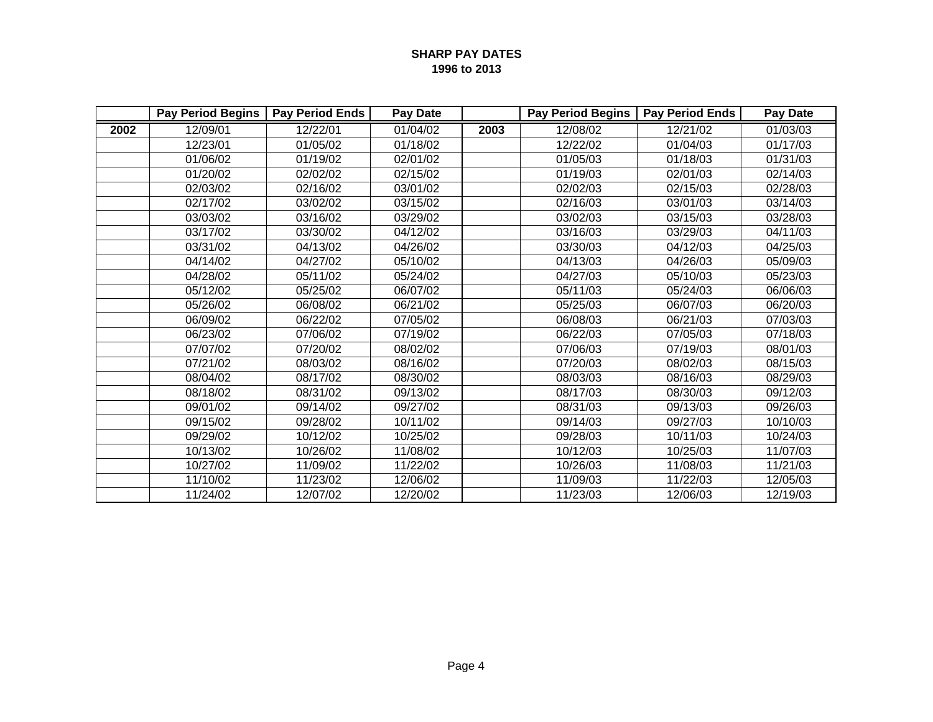|      | <b>Pay Period Begins</b> | <b>Pay Period Ends</b> | <b>Pay Date</b> |      | <b>Pay Period Begins</b> | <b>Pay Period Ends</b> | <b>Pay Date</b> |
|------|--------------------------|------------------------|-----------------|------|--------------------------|------------------------|-----------------|
| 2002 | 12/09/01                 | 12/22/01               | 01/04/02        | 2003 | 12/08/02                 | 12/21/02               | 01/03/03        |
|      | 12/23/01                 | 01/05/02               | 01/18/02        |      | 12/22/02                 | 01/04/03               | 01/17/03        |
|      | 01/06/02                 | 01/19/02               | 02/01/02        |      | 01/05/03                 | 01/18/03               | 01/31/03        |
|      | 01/20/02                 | 02/02/02               | 02/15/02        |      | 01/19/03                 | 02/01/03               | 02/14/03        |
|      | 02/03/02                 | 02/16/02               | 03/01/02        |      | 02/02/03                 | 02/15/03               | 02/28/03        |
|      | 02/17/02                 | 03/02/02               | 03/15/02        |      | 02/16/03                 | 03/01/03               | 03/14/03        |
|      | 03/03/02                 | 03/16/02               | 03/29/02        |      | 03/02/03                 | 03/15/03               | 03/28/03        |
|      | 03/17/02                 | 03/30/02               | 04/12/02        |      | 03/16/03                 | 03/29/03               | 04/11/03        |
|      | 03/31/02                 | 04/13/02               | 04/26/02        |      | 03/30/03                 | 04/12/03               | 04/25/03        |
|      | 04/14/02                 | 04/27/02               | 05/10/02        |      | 04/13/03                 | 04/26/03               | 05/09/03        |
|      | 04/28/02                 | 05/11/02               | 05/24/02        |      | 04/27/03                 | 05/10/03               | 05/23/03        |
|      | 05/12/02                 | 05/25/02               | 06/07/02        |      | 05/11/03                 | 05/24/03               | 06/06/03        |
|      | 05/26/02                 | 06/08/02               | 06/21/02        |      | 05/25/03                 | 06/07/03               | 06/20/03        |
|      | 06/09/02                 | 06/22/02               | 07/05/02        |      | 06/08/03                 | 06/21/03               | 07/03/03        |
|      | 06/23/02                 | 07/06/02               | 07/19/02        |      | 06/22/03                 | 07/05/03               | 07/18/03        |
|      | 07/07/02                 | 07/20/02               | 08/02/02        |      | 07/06/03                 | 07/19/03               | 08/01/03        |
|      | 07/21/02                 | 08/03/02               | 08/16/02        |      | 07/20/03                 | 08/02/03               | 08/15/03        |
|      | 08/04/02                 | 08/17/02               | 08/30/02        |      | 08/03/03                 | 08/16/03               | 08/29/03        |
|      | 08/18/02                 | 08/31/02               | 09/13/02        |      | 08/17/03                 | 08/30/03               | 09/12/03        |
|      | 09/01/02                 | 09/14/02               | 09/27/02        |      | 08/31/03                 | 09/13/03               | 09/26/03        |
|      | 09/15/02                 | 09/28/02               | 10/11/02        |      | 09/14/03                 | 09/27/03               | 10/10/03        |
|      | 09/29/02                 | 10/12/02               | 10/25/02        |      | 09/28/03                 | 10/11/03               | 10/24/03        |
|      | 10/13/02                 | 10/26/02               | 11/08/02        |      | 10/12/03                 | 10/25/03               | 11/07/03        |
|      | 10/27/02                 | 11/09/02               | 11/22/02        |      | 10/26/03                 | 11/08/03               | 11/21/03        |
|      | 11/10/02                 | 11/23/02               | 12/06/02        |      | 11/09/03                 | 11/22/03               | 12/05/03        |
|      | 11/24/02                 | 12/07/02               | 12/20/02        |      | 11/23/03                 | 12/06/03               | 12/19/03        |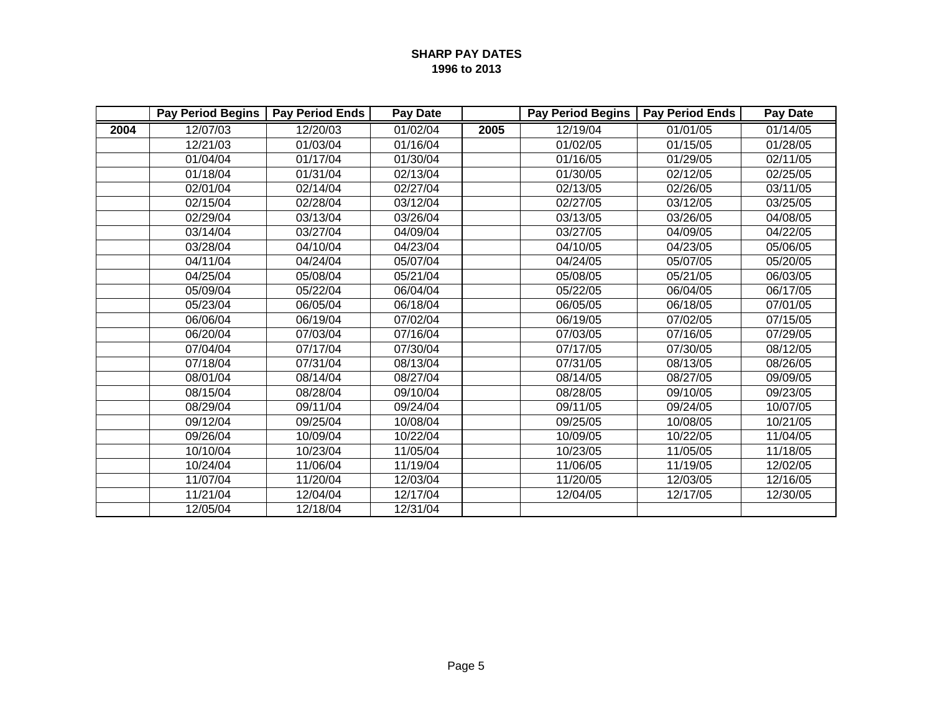|      | <b>Pay Period Begins</b> | <b>Pay Period Ends</b> | Pay Date |      | <b>Pay Period Begins</b> | <b>Pay Period Ends</b> | Pay Date |
|------|--------------------------|------------------------|----------|------|--------------------------|------------------------|----------|
| 2004 | 12/07/03                 | 12/20/03               | 01/02/04 | 2005 | 12/19/04                 | 01/01/05               | 01/14/05 |
|      | 12/21/03                 | 01/03/04               | 01/16/04 |      | 01/02/05                 | 01/15/05               | 01/28/05 |
|      | 01/04/04                 | 01/17/04               | 01/30/04 |      | 01/16/05                 | 01/29/05               | 02/11/05 |
|      | 01/18/04                 | 01/31/04               | 02/13/04 |      | 01/30/05                 | 02/12/05               | 02/25/05 |
|      | 02/01/04                 | 02/14/04               | 02/27/04 |      | 02/13/05                 | 02/26/05               | 03/11/05 |
|      | 02/15/04                 | 02/28/04               | 03/12/04 |      | 02/27/05                 | 03/12/05               | 03/25/05 |
|      | 02/29/04                 | 03/13/04               | 03/26/04 |      | 03/13/05                 | 03/26/05               | 04/08/05 |
|      | 03/14/04                 | 03/27/04               | 04/09/04 |      | 03/27/05                 | 04/09/05               | 04/22/05 |
|      | 03/28/04                 | 04/10/04               | 04/23/04 |      | 04/10/05                 | 04/23/05               | 05/06/05 |
|      | 04/11/04                 | 04/24/04               | 05/07/04 |      | 04/24/05                 | 05/07/05               | 05/20/05 |
|      | 04/25/04                 | 05/08/04               | 05/21/04 |      | 05/08/05                 | 05/21/05               | 06/03/05 |
|      | 05/09/04                 | 05/22/04               | 06/04/04 |      | 05/22/05                 | 06/04/05               | 06/17/05 |
|      | 05/23/04                 | 06/05/04               | 06/18/04 |      | 06/05/05                 | 06/18/05               | 07/01/05 |
|      | 06/06/04                 | 06/19/04               | 07/02/04 |      | 06/19/05                 | 07/02/05               | 07/15/05 |
|      | 06/20/04                 | 07/03/04               | 07/16/04 |      | 07/03/05                 | 07/16/05               | 07/29/05 |
|      | 07/04/04                 | 07/17/04               | 07/30/04 |      | 07/17/05                 | 07/30/05               | 08/12/05 |
|      | 07/18/04                 | 07/31/04               | 08/13/04 |      | 07/31/05                 | 08/13/05               | 08/26/05 |
|      | 08/01/04                 | 08/14/04               | 08/27/04 |      | 08/14/05                 | 08/27/05               | 09/09/05 |
|      | 08/15/04                 | 08/28/04               | 09/10/04 |      | 08/28/05                 | 09/10/05               | 09/23/05 |
|      | 08/29/04                 | 09/11/04               | 09/24/04 |      | 09/11/05                 | 09/24/05               | 10/07/05 |
|      | 09/12/04                 | 09/25/04               | 10/08/04 |      | 09/25/05                 | 10/08/05               | 10/21/05 |
|      | 09/26/04                 | 10/09/04               | 10/22/04 |      | 10/09/05                 | 10/22/05               | 11/04/05 |
|      | 10/10/04                 | 10/23/04               | 11/05/04 |      | 10/23/05                 | 11/05/05               | 11/18/05 |
|      | 10/24/04                 | 11/06/04               | 11/19/04 |      | 11/06/05                 | 11/19/05               | 12/02/05 |
|      | 11/07/04                 | 11/20/04               | 12/03/04 |      | 11/20/05                 | 12/03/05               | 12/16/05 |
|      | 11/21/04                 | 12/04/04               | 12/17/04 |      | 12/04/05                 | 12/17/05               | 12/30/05 |
|      | 12/05/04                 | 12/18/04               | 12/31/04 |      |                          |                        |          |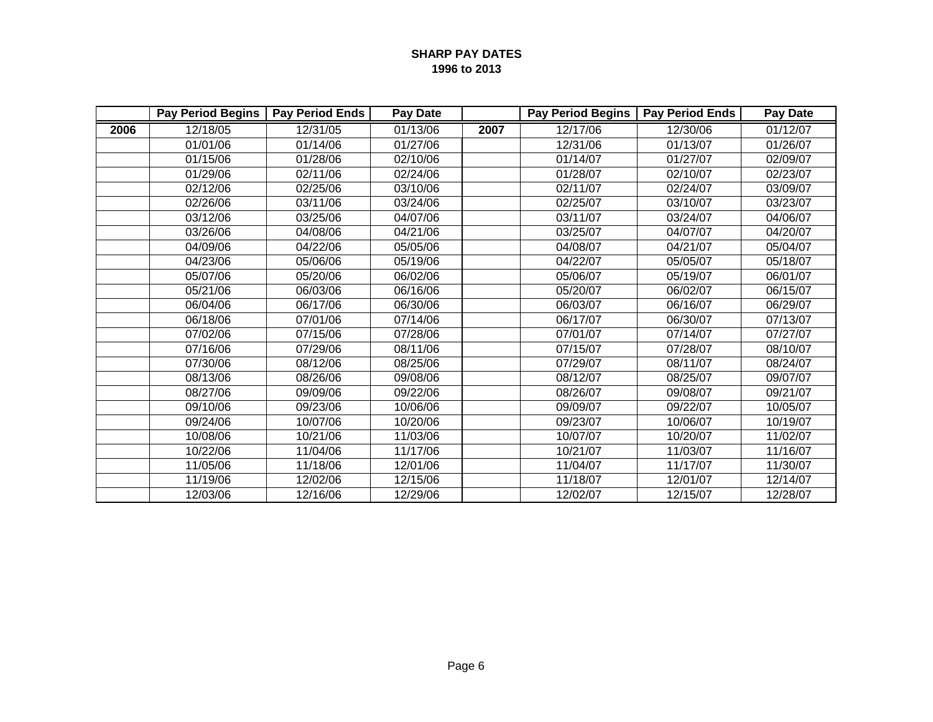|      | <b>Pay Period Begins</b> | <b>Pay Period Ends</b> | Pay Date |      | <b>Pay Period Begins</b> | <b>Pay Period Ends</b> | Pay Date |
|------|--------------------------|------------------------|----------|------|--------------------------|------------------------|----------|
| 2006 | 12/18/05                 | 12/31/05               | 01/13/06 | 2007 | 12/17/06                 | 12/30/06               | 01/12/07 |
|      | 01/01/06                 | 01/14/06               | 01/27/06 |      | 12/31/06                 | 01/13/07               | 01/26/07 |
|      | 01/15/06                 | 01/28/06               | 02/10/06 |      | 01/14/07                 | 01/27/07               | 02/09/07 |
|      | 01/29/06                 | 02/11/06               | 02/24/06 |      | 01/28/07                 | 02/10/07               | 02/23/07 |
|      | 02/12/06                 | 02/25/06               | 03/10/06 |      | 02/11/07                 | 02/24/07               | 03/09/07 |
|      | 02/26/06                 | 03/11/06               | 03/24/06 |      | 02/25/07                 | 03/10/07               | 03/23/07 |
|      | 03/12/06                 | 03/25/06               | 04/07/06 |      | 03/11/07                 | 03/24/07               | 04/06/07 |
|      | 03/26/06                 | 04/08/06               | 04/21/06 |      | 03/25/07                 | 04/07/07               | 04/20/07 |
|      | 04/09/06                 | 04/22/06               | 05/05/06 |      | 04/08/07                 | 04/21/07               | 05/04/07 |
|      | 04/23/06                 | 05/06/06               | 05/19/06 |      | 04/22/07                 | 05/05/07               | 05/18/07 |
|      | 05/07/06                 | 05/20/06               | 06/02/06 |      | 05/06/07                 | 05/19/07               | 06/01/07 |
|      | 05/21/06                 | 06/03/06               | 06/16/06 |      | 05/20/07                 | 06/02/07               | 06/15/07 |
|      | 06/04/06                 | 06/17/06               | 06/30/06 |      | 06/03/07                 | 06/16/07               | 06/29/07 |
|      | 06/18/06                 | 07/01/06               | 07/14/06 |      | 06/17/07                 | 06/30/07               | 07/13/07 |
|      | 07/02/06                 | 07/15/06               | 07/28/06 |      | 07/01/07                 | 07/14/07               | 07/27/07 |
|      | 07/16/06                 | 07/29/06               | 08/11/06 |      | 07/15/07                 | 07/28/07               | 08/10/07 |
|      | 07/30/06                 | 08/12/06               | 08/25/06 |      | 07/29/07                 | 08/11/07               | 08/24/07 |
|      | 08/13/06                 | 08/26/06               | 09/08/06 |      | 08/12/07                 | 08/25/07               | 09/07/07 |
|      | 08/27/06                 | 09/09/06               | 09/22/06 |      | 08/26/07                 | 09/08/07               | 09/21/07 |
|      | 09/10/06                 | 09/23/06               | 10/06/06 |      | 09/09/07                 | 09/22/07               | 10/05/07 |
|      | 09/24/06                 | 10/07/06               | 10/20/06 |      | 09/23/07                 | 10/06/07               | 10/19/07 |
|      | 10/08/06                 | 10/21/06               | 11/03/06 |      | 10/07/07                 | 10/20/07               | 11/02/07 |
|      | 10/22/06                 | 11/04/06               | 11/17/06 |      | 10/21/07                 | 11/03/07               | 11/16/07 |
|      | 11/05/06                 | 11/18/06               | 12/01/06 |      | 11/04/07                 | 11/17/07               | 11/30/07 |
|      | 11/19/06                 | 12/02/06               | 12/15/06 |      | 11/18/07                 | 12/01/07               | 12/14/07 |
|      | 12/03/06                 | 12/16/06               | 12/29/06 |      | 12/02/07                 | 12/15/07               | 12/28/07 |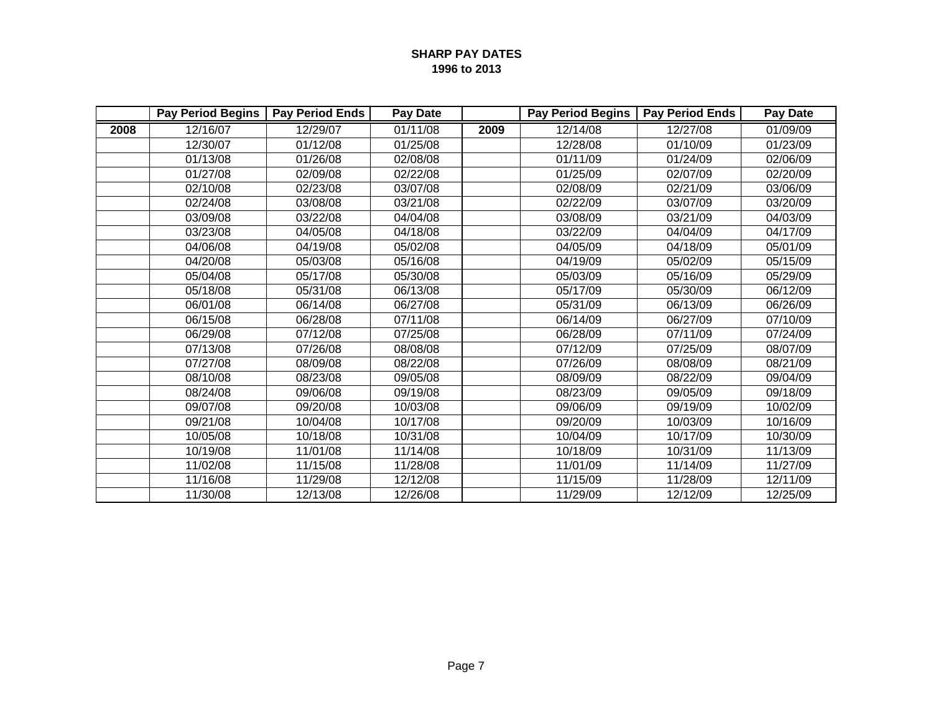|      | <b>Pay Period Begins</b> | <b>Pay Period Ends</b> | Pay Date |      | <b>Pay Period Begins</b> | <b>Pay Period Ends</b> | Pay Date |
|------|--------------------------|------------------------|----------|------|--------------------------|------------------------|----------|
| 2008 | 12/16/07                 | 12/29/07               | 01/11/08 | 2009 | 12/14/08                 | 12/27/08               | 01/09/09 |
|      | 12/30/07                 | 01/12/08               | 01/25/08 |      | 12/28/08                 | 01/10/09               | 01/23/09 |
|      | 01/13/08                 | 01/26/08               | 02/08/08 |      | 01/11/09                 | 01/24/09               | 02/06/09 |
|      | 01/27/08                 | 02/09/08               | 02/22/08 |      | 01/25/09                 | 02/07/09               | 02/20/09 |
|      | 02/10/08                 | 02/23/08               | 03/07/08 |      | 02/08/09                 | 02/21/09               | 03/06/09 |
|      | 02/24/08                 | 03/08/08               | 03/21/08 |      | 02/22/09                 | 03/07/09               | 03/20/09 |
|      | 03/09/08                 | 03/22/08               | 04/04/08 |      | 03/08/09                 | 03/21/09               | 04/03/09 |
|      | 03/23/08                 | 04/05/08               | 04/18/08 |      | 03/22/09                 | 04/04/09               | 04/17/09 |
|      | 04/06/08                 | 04/19/08               | 05/02/08 |      | 04/05/09                 | 04/18/09               | 05/01/09 |
|      | 04/20/08                 | 05/03/08               | 05/16/08 |      | 04/19/09                 | 05/02/09               | 05/15/09 |
|      | 05/04/08                 | 05/17/08               | 05/30/08 |      | 05/03/09                 | 05/16/09               | 05/29/09 |
|      | 05/18/08                 | 05/31/08               | 06/13/08 |      | 05/17/09                 | 05/30/09               | 06/12/09 |
|      | 06/01/08                 | 06/14/08               | 06/27/08 |      | 05/31/09                 | 06/13/09               | 06/26/09 |
|      | 06/15/08                 | 06/28/08               | 07/11/08 |      | 06/14/09                 | 06/27/09               | 07/10/09 |
|      | 06/29/08                 | 07/12/08               | 07/25/08 |      | 06/28/09                 | 07/11/09               | 07/24/09 |
|      | 07/13/08                 | 07/26/08               | 08/08/08 |      | 07/12/09                 | 07/25/09               | 08/07/09 |
|      | 07/27/08                 | 08/09/08               | 08/22/08 |      | 07/26/09                 | 08/08/09               | 08/21/09 |
|      | 08/10/08                 | 08/23/08               | 09/05/08 |      | 08/09/09                 | 08/22/09               | 09/04/09 |
|      | 08/24/08                 | 09/06/08               | 09/19/08 |      | 08/23/09                 | 09/05/09               | 09/18/09 |
|      | 09/07/08                 | 09/20/08               | 10/03/08 |      | 09/06/09                 | 09/19/09               | 10/02/09 |
|      | 09/21/08                 | 10/04/08               | 10/17/08 |      | 09/20/09                 | 10/03/09               | 10/16/09 |
|      | 10/05/08                 | 10/18/08               | 10/31/08 |      | 10/04/09                 | 10/17/09               | 10/30/09 |
|      | 10/19/08                 | 11/01/08               | 11/14/08 |      | 10/18/09                 | 10/31/09               | 11/13/09 |
|      | 11/02/08                 | 11/15/08               | 11/28/08 |      | 11/01/09                 | 11/14/09               | 11/27/09 |
|      | 11/16/08                 | 11/29/08               | 12/12/08 |      | 11/15/09                 | 11/28/09               | 12/11/09 |
|      | 11/30/08                 | 12/13/08               | 12/26/08 |      | 11/29/09                 | 12/12/09               | 12/25/09 |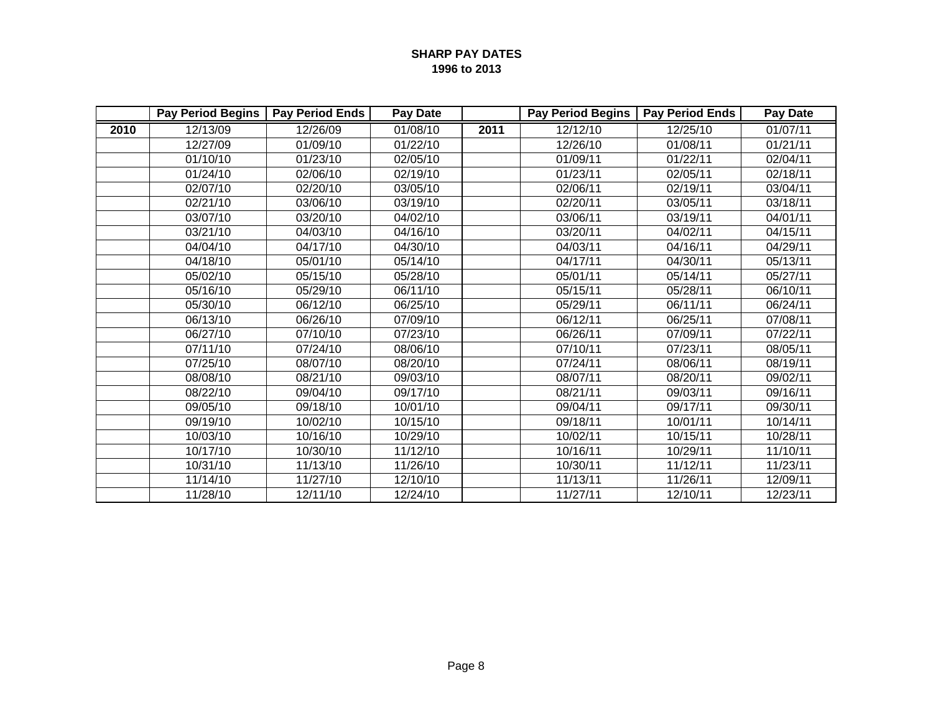|      | <b>Pay Period Begins</b> | <b>Pay Period Ends</b> | Pay Date |      | <b>Pay Period Begins</b> | <b>Pay Period Ends</b> | Pay Date |
|------|--------------------------|------------------------|----------|------|--------------------------|------------------------|----------|
| 2010 | 12/13/09                 | 12/26/09               | 01/08/10 | 2011 | 12/12/10                 | 12/25/10               | 01/07/11 |
|      | 12/27/09                 | 01/09/10               | 01/22/10 |      | 12/26/10                 | 01/08/11               | 01/21/11 |
|      | 01/10/10                 | 01/23/10               | 02/05/10 |      | 01/09/11                 | 01/22/11               | 02/04/11 |
|      | 01/24/10                 | 02/06/10               | 02/19/10 |      | 01/23/11                 | 02/05/11               | 02/18/11 |
|      | 02/07/10                 | 02/20/10               | 03/05/10 |      | 02/06/11                 | 02/19/11               | 03/04/11 |
|      | 02/21/10                 | 03/06/10               | 03/19/10 |      | 02/20/11                 | 03/05/11               | 03/18/11 |
|      | 03/07/10                 | 03/20/10               | 04/02/10 |      | 03/06/11                 | 03/19/11               | 04/01/11 |
|      | 03/21/10                 | 04/03/10               | 04/16/10 |      | 03/20/11                 | 04/02/11               | 04/15/11 |
|      | 04/04/10                 | 04/17/10               | 04/30/10 |      | 04/03/11                 | 04/16/11               | 04/29/11 |
|      | 04/18/10                 | 05/01/10               | 05/14/10 |      | 04/17/11                 | 04/30/11               | 05/13/11 |
|      | 05/02/10                 | 05/15/10               | 05/28/10 |      | 05/01/11                 | 05/14/11               | 05/27/11 |
|      | 05/16/10                 | 05/29/10               | 06/11/10 |      | 05/15/11                 | 05/28/11               | 06/10/11 |
|      | 05/30/10                 | 06/12/10               | 06/25/10 |      | 05/29/11                 | 06/11/11               | 06/24/11 |
|      | 06/13/10                 | 06/26/10               | 07/09/10 |      | 06/12/11                 | 06/25/11               | 07/08/11 |
|      | 06/27/10                 | 07/10/10               | 07/23/10 |      | 06/26/11                 | 07/09/11               | 07/22/11 |
|      | 07/11/10                 | 07/24/10               | 08/06/10 |      | 07/10/11                 | 07/23/11               | 08/05/11 |
|      | 07/25/10                 | 08/07/10               | 08/20/10 |      | 07/24/11                 | 08/06/11               | 08/19/11 |
|      | 08/08/10                 | 08/21/10               | 09/03/10 |      | 08/07/11                 | 08/20/11               | 09/02/11 |
|      | 08/22/10                 | 09/04/10               | 09/17/10 |      | 08/21/11                 | 09/03/11               | 09/16/11 |
|      | 09/05/10                 | 09/18/10               | 10/01/10 |      | 09/04/11                 | 09/17/11               | 09/30/11 |
|      | 09/19/10                 | 10/02/10               | 10/15/10 |      | 09/18/11                 | 10/01/11               | 10/14/11 |
|      | 10/03/10                 | 10/16/10               | 10/29/10 |      | 10/02/11                 | 10/15/11               | 10/28/11 |
|      | 10/17/10                 | 10/30/10               | 11/12/10 |      | 10/16/11                 | 10/29/11               | 11/10/11 |
|      | 10/31/10                 | 11/13/10               | 11/26/10 |      | 10/30/11                 | 11/12/11               | 11/23/11 |
|      | 11/14/10                 | 11/27/10               | 12/10/10 |      | 11/13/11                 | 11/26/11               | 12/09/11 |
|      | 11/28/10                 | 12/11/10               | 12/24/10 |      | 11/27/11                 | 12/10/11               | 12/23/11 |